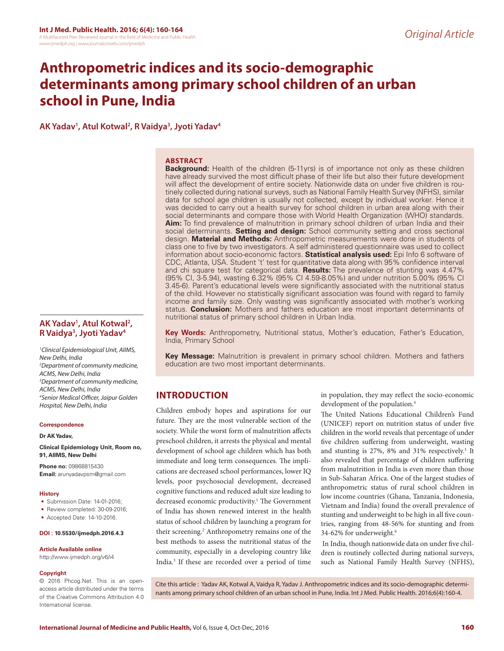# **Anthropometric indices and its socio-demographic determinants among primary school children of an urban school in Pune, India**

**AK Yadav1 , Atul Kotwal2 , R Vaidya3 , Jyoti Yadav4**

### **ABSTRACT**

**Background:** Health of the children (5-11yrs) is of importance not only as these children have already survived the most difficult phase of their life but also their future development will affect the development of entire society. Nationwide data on under five children is routinely collected during national surveys, such as National Family Health Survey (NFHS), similar data for school age children is usually not collected, except by individual worker. Hence it was decided to carry out a health survey for school children in urban area along with their social determinants and compare those with World Health Organization (WHO) standards. **Aim:** To find prevalence of malnutrition in primary school children of urban India and their social determinants. **Setting and design:** School community setting and cross sectional design. **Material and Methods:** Anthropometric measurements were done in students of class one to five by two investigators. A self administered questionnaire was used to collect information about socio-economic factors. **Statistical analysis used:** Epi Info 6 software of CDC, Atlanta, USA. Student 't' test for quantitative data along with 95% confidence interval and chi square test for categorical data. **Results:** The prevalence of stunting was 4.47% (95% CI, 3-5.94), wasting 6.32% (95% CI 4.59-8.05%) and under nutrition 5.00% (95% CI 3.45-6). Parent's educational levels were significantly associated with the nutritional status of the child. However no statistically significant association was found with regard to family income and family size. Only wasting was significantly associated with mother's working status. **Conclusion:** Mothers and fathers education are most important determinants of nutritional status of primary school children in Urban India.

**Key Words:** Anthropometry, Nutritional status, Mother's education, Father's Education, India, Primary School

**Key Message:** Malnutrition is prevalent in primary school children. Mothers and fathers education are two most important determinants.

# **INTRODUCTION**

Children embody hopes and aspirations for our future. They are the most vulnerable section of the society. While the worst form of malnutrition affects preschool children, it arrests the physical and mental development of school age children which has both immediate and long term consequences. The implications are decreased school performances, lower IQ levels, poor psychosocial development, decreased cognitive functions and reduced adult size leading to decreased economic productivity.<sup>1</sup> The Government of India has shown renewed interest in the health status of school children by launching a program for their screening.<sup>2</sup> Anthropometry remains one of the best methods to assess the nutritional status of the community, especially in a developing country like India.3 If these are recorded over a period of time in population, they may reflect the socio-economic development of the population.<sup>4</sup>

The United Nations Educational Children's Fund (UNICEF) report on nutrition status of under five children in the world reveals that percentage of under five children suffering from underweight, wasting and stunting is 27%, 8% and 31% respectively.<sup>5</sup> It also revealed that percentage of children suffering from malnutrition in India is even more than those in Sub-Saharan Africa. One of the largest studies of anthropometric status of rural school children in low income countries (Ghana, Tanzania, Indonesia, Vietnam and India) found the overall prevalence of stunting and underweight to be high in all five countries, ranging from 48-56% for stunting and from 34-62% for underweight.6

 In India, though nationwide data on under five children is routinely collected during national surveys, such as National Family Health Survey (NFHS),

Cite this article : Yadav AK, Kotwal A, Vaidya R, Yadav J. Anthropometric indices and its socio-demographic determinants among primary school children of an urban school in Pune, India. Int J Med. Public Health. 2016;6(4):160-4.

# **AK Yadav1 , Atul Kotwal2 , R Vaidya3 , Jyoti Yadav4**

*1 Clinical Epidemiological Unit, AIIMS, New Delhi, India 2 Department of community medicine, ACMS, New Delhi, India 3 Department of community medicine, ACMS, New Delhi, India 4 Senior Medical Officer, Jaipur Golden Hospital, New Delhi, India*

#### **Correspondence**

**Dr AK Yadav,**

**Clinical Epidemiology Unit, Room no, 91, AIIMS, New Delhi**

**Phone no:** 09868815430 **Email:** arunyadavpsm@gmail.com

#### **History**

- Submission Date: 14-01-2016;
- Review completed: 30-09-2016;
- Accepted Date: 14-10-2016.

#### **DOI : 10.5530/ijmedph.2016.4.3**

#### **Article Available online**

http://www.ijmedph.org/v6/i4

#### **Copyright**

© 2016 Phcog.Net. This is an openaccess article distributed under the terms of the Creative Commons Attribution 4.0 International license.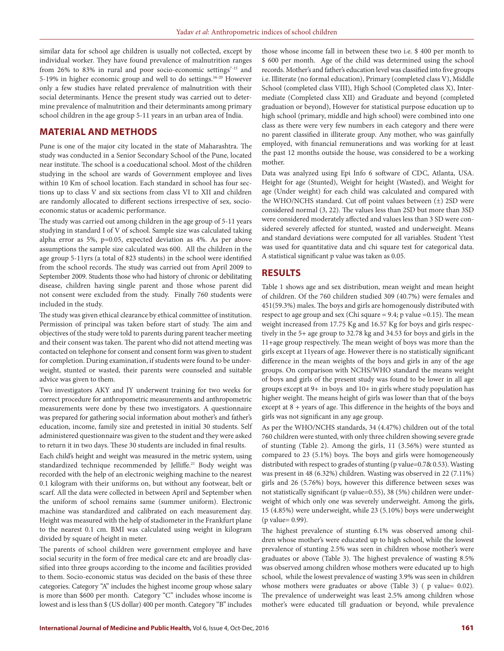similar data for school age children is usually not collected, except by individual worker. They have found prevalence of malnutrition ranges from 26% to 83% in rural and poor socio-economic settings $7-15$  and 5-19% in higher economic group and well to do settings.16-20 However only a few studies have related prevalence of malnutrition with their social determinants. Hence the present study was carried out to determine prevalence of malnutrition and their determinants among primary school children in the age group 5-11 years in an urban area of India.

# **MATERIAL AND METHODS**

Pune is one of the major city located in the state of Maharashtra. The study was conducted in a Senior Secondary School of the Pune, located near institute. The school is a coeducational school. Most of the children studying in the school are wards of Government employee and lives within 10 Km of school location. Each standard in school has four sections up to class V and six sections from class VI to XII and children are randomly allocated to different sections irrespective of sex, socioeconomic status or academic performance.

The study was carried out among children in the age group of 5-11 years studying in standard I of V of school. Sample size was calculated taking alpha error as 5%, p=0.05, expected deviation as 4%. As per above assumptions the sample size calculated was 600. All the children in the age group 5-11yrs (a total of 823 students) in the school were identified from the school records. The study was carried out from April 2009 to September 2009. Students those who had history of chronic or debilitating disease, children having single parent and those whose parent did not consent were excluded from the study. Finally 760 students were included in the study.

The study was given ethical clearance by ethical committee of institution. Permission of principal was taken before start of study. The aim and objectives of the study were told to parents during parent teacher meeting and their consent was taken. The parent who did not attend meeting was contacted on telephone for consent and consent form was given to student for completion. During examination, if students were found to be underweight, stunted or wasted, their parents were counseled and suitable advice was given to them.

Two investigators AKY and JY underwent training for two weeks for correct procedure for anthropometric measurements and anthropometric measurements were done by these two investigators. A questionnaire was prepared for gathering social information about mother's and father's education, income, family size and pretested in initial 30 students. Self administered questionnaire was given to the student and they were asked to return it in two days. These 30 students are included in final results.

Each child's height and weight was measured in the metric system, using standardized technique recommended by Jelliffe.<sup>21</sup> Body weight was recorded with the help of an electronic weighing machine to the nearest 0.1 kilogram with their uniforms on, but without any footwear, belt or scarf. All the data were collected in between April and September when the uniform of school remains same (summer uniform). Electronic machine was standardized and calibrated on each measurement day. Height was measured with the help of stadiometer in the Frankfurt plane to the nearest 0.1 cm. BMI was calculated using weight in kilogram divided by square of height in meter.

The parents of school children were government employee and have social security in the form of free medical care etc and are broadly classified into three groups according to the income and facilities provided to them. Socio-economic status was decided on the basis of these three categories. Category "A" includes the highest income group whose salary is more than \$600 per month. Category "C" includes whose income is lowest and is less than \$ (US dollar) 400 per month. Category "B" includes

those whose income fall in between these two i.e. \$ 400 per month to \$ 600 per month. Age of the child was determined using the school records. Mother's and father's education level was classified into five groups i.e. Illiterate (no formal education), Primary (completed class V), Middle School (completed class VIII), High School (Completed class X), Intermediate (Completed class XII) and Graduate and beyond (completed graduation or beyond), However for statistical purpose education up to high school (primary, middle and high school) were combined into one class as there were very few numbers in each category and there were no parent classified in illiterate group. Any mother, who was gainfully employed, with financial remunerations and was working for at least the past 12 months outside the house, was considered to be a working mother.

Data was analyzed using Epi Info 6 software of CDC, Atlanta, USA. Height for age (Stunted), Weight for height (Wasted), and Weight for age (Under weight) for each child was calculated and compared with the WHO/NCHS standard. Cut off point values between (±) 2SD were considered normal (3, 22). The values less than 2SD but more than 3SD were considered moderately affected and values less than 3 SD were considered severely affected for stunted, wasted and underweight. Means and standard deviations were computed for all variables. Student 't'test was used for quantitative data and chi square test for categorical data. A statistical significant p value was taken as 0.05.

# **RESULTS**

Table 1 shows age and sex distribution, mean weight and mean height of children. Of the 760 children studied 309 (40.7%) were females and 451(59.3%) males. The boys and girls are homogenously distributed with respect to age group and sex (Chi square  $= 9.4$ ; p value  $= 0.15$ ). The mean weight increased from 17.75 Kg and 16.57 Kg for boys and girls respectively in the 5+ age group to 32.78 kg and 34.53 for boys and girls in the 11+age group respectively. The mean weight of boys was more than the girls except at 11years of age. However there is no statistically significant difference in the mean weights of the boys and girls in any of the age groups. On comparison with NCHS/WHO standard the means weight of boys and girls of the present study was found to be lower in all age groups except at 9+ in boys and 10+ in girls where study population has higher weight. The means height of girls was lower than that of the boys except at 8 + years of age. This difference in the heights of the boys and girls was not significant in any age group.

As per the WHO/NCHS standards, 34 (4.47%) children out of the total 760 children were stunted, with only three children showing severe grade of stunting (Table 2). Among the girls, 11 (3.56%) were stunted as compared to 23 (5.1%) boys. The boys and girls were homogeneously distributed with respect to grades of stunting (p value=0.7& 0.53). Wasting was present in 48 (6.32%) children. Wasting was observed in 22 (7.11%) girls and 26 (5.76%) boys, however this difference between sexes was not statistically significant (p value=0.55), 38 (5%) children were underweight of which only one was severely underweight. Among the girls, 15 (4.85%) were underweight, while 23 (5.10%) boys were underweight (p value= 0.99).

The highest prevalence of stunting 6.1% was observed among children whose mother's were educated up to high school, while the lowest prevalence of stunting 2.5% was seen in children whose mother's were graduates or above (Table 3). The highest prevalence of wasting 8.5% was observed among children whose mothers were educated up to high school, while the lowest prevalence of wasting 3.9% was seen in children whose mothers were graduates or above (Table 3) ( $p$  value= 0.02). The prevalence of underweight was least 2.5% among children whose mother's were educated till graduation or beyond, while prevalence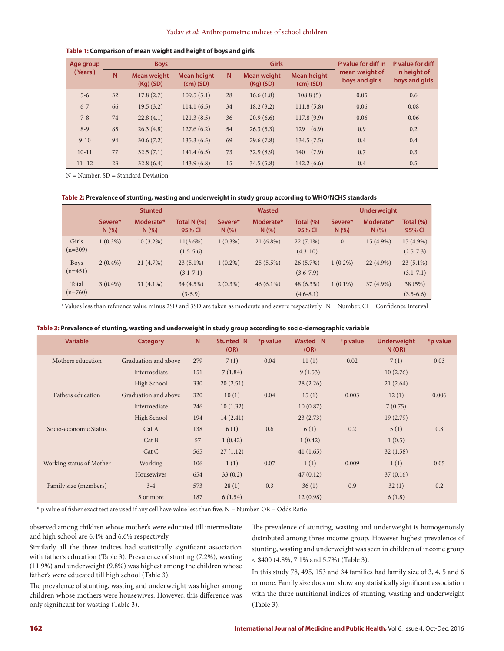#### **Table 1: Comparison of mean weight and height of boys and girls**

| Age group<br>(Years) | <b>Boys</b> |                                   |                                   |    | <b>Girls</b>                      |                                   | P value for diff in              | P value for diff               |  |
|----------------------|-------------|-----------------------------------|-----------------------------------|----|-----------------------------------|-----------------------------------|----------------------------------|--------------------------------|--|
|                      | N           | <b>Mean weight</b><br>$(Kq)$ (SD) | <b>Mean height</b><br>$(cm)$ (SD) | N. | <b>Mean weight</b><br>$(Kq)$ (SD) | <b>Mean height</b><br>$(cm)$ (SD) | mean weight of<br>boys and girls | in height of<br>boys and girls |  |
| $5 - 6$              | 32          | 17.8(2.7)                         | 109.5(5.1)                        | 28 | 16.6(1.8)                         | 108.8(5)                          | 0.05                             | 0.6                            |  |
| $6 - 7$              | 66          | 19.5(3.2)                         | 114.1(6.5)                        | 34 | 18.2(3.2)                         | 111.8(5.8)                        | 0.06                             | 0.08                           |  |
| $7 - 8$              | 74          | 22.8(4.1)                         | 121.3(8.5)                        | 36 | 20.9(6.6)                         | 117.8(9.9)                        | 0.06                             | 0.06                           |  |
| $8-9$                | 85          | 26.3(4.8)                         | 127.6(6.2)                        | 54 | 26.3(5.3)                         | (6.9)<br>129                      | 0.9                              | 0.2                            |  |
| $9 - 10$             | 94          | 30.6(7.2)                         | 135.3(6.5)                        | 69 | 29.6(7.8)                         | 134.5(7.5)                        | 0.4                              | 0.4                            |  |
| $10-11$              | 77          | 32.5(7.1)                         | 141.4(6.5)                        | 73 | 32.9(8.9)                         | 140(7.9)                          | 0.7                              | 0.3                            |  |
| $11 - 12$            | 23          | 32.8(6.4)                         | 143.9(6.8)                        | 15 | 34.5(5.8)                         | 142.2(6.6)                        | 0.4                              | 0.5                            |  |

N = Number, SD = Standard Deviation

#### **Table 2: Prevalence of stunting, wasting and underweight in study group according to WHO/NCHS standards**

|                          | <b>Stunted</b>  |                  |                              | <b>Wasted</b>  |                  |                              | <b>Underweight</b> |                  |                              |
|--------------------------|-----------------|------------------|------------------------------|----------------|------------------|------------------------------|--------------------|------------------|------------------------------|
|                          | Severe*<br>N(%) | Moderate*<br>N(% | Total $N$ $(\%)$<br>95% CI   | Severe*<br>N(% | Moderate*<br>N(% | Total $(\%)$<br>95% CI       | Severe*<br>N(%     | Moderate*<br>N(% | Total $(\%)$<br>95% CI       |
| Girls<br>$(n=309)$       | $1(0.3\%)$      | $10(3.2\%)$      | $11(3.6\%)$<br>$(1.5-5.6)$   | $1(0.3\%)$     | $21(6.8\%)$      | $22(7.1\%)$<br>$(4.3-10)$    | $\mathbf{0}$       | 15 (4.9%)        | $15(4.9\%)$<br>$(2.5 - 7.3)$ |
| <b>Boys</b><br>$(n=451)$ | $2(0.4\%)$      | 21(4.7%)         | $23(5.1\%)$<br>$(3.1 - 7.1)$ | $1(0.2\%)$     | $25(5.5\%)$      | $26(5.7\%)$<br>$(3.6 - 7.9)$ | $1(0.2\%)$         | $22(4.9\%)$      | $23(5.1\%)$<br>$(3.1 - 7.1)$ |
| Total<br>$(n=760)$       | $3(0.4\%)$      | $31(4.1\%)$      | 34 (4.5%)<br>$(3-5.9)$       | $2(0.3\%)$     | $46(6.1\%)$      | 48 (6.3%)<br>$(4.6 - 8.1)$   | $1(0.1\%)$         | 37 (4.9%)        | 38 (5%)<br>$(3.5-6.6)$       |

\*Values less than reference value minus 2SD and 3SD are taken as moderate and severe respectively. N = Number, CI = Confidence Interval

|  |  |  | Table 3: Prevalence of stunting, wasting and underweight in study group according to socio-demographic variable |
|--|--|--|-----------------------------------------------------------------------------------------------------------------|
|--|--|--|-----------------------------------------------------------------------------------------------------------------|

| <b>Variable</b>          | <b>Category</b>      | N   | Stunted N<br>(OR) | *p value | <b>Wasted N</b><br>(OR) | *p value | <b>Underweight</b><br>N(OR) | *p value |
|--------------------------|----------------------|-----|-------------------|----------|-------------------------|----------|-----------------------------|----------|
| Mothers education        | Graduation and above | 279 | 7(1)              | 0.04     | 11(1)                   | 0.02     | 7(1)                        | 0.03     |
|                          | Intermediate         | 151 | 7(1.84)           |          | 9(1.53)                 |          | 10(2.76)                    |          |
|                          | High School          | 330 | 20(2.51)          |          | 28(2.26)                |          | 21(2.64)                    |          |
| Fathers education        | Graduation and above | 320 | 10(1)             | 0.04     | 15(1)                   | 0.003    | 12(1)                       | 0.006    |
|                          | Intermediate         | 246 | 10(1.32)          |          | 10(0.87)                |          | 7(0.75)                     |          |
|                          | High School          | 194 | 14(2.41)          |          | 23(2.73)                |          | 19(2.79)                    |          |
| Socio-economic Status    | Cat A                | 138 | 6(1)              | 0.6      | 6(1)                    | 0.2      | 5(1)                        | 0.3      |
|                          | Cat B                | 57  | 1(0.42)           |          | 1(0.42)                 |          | 1(0.5)                      |          |
|                          | Cat C                | 565 | 27(1.12)          |          | 41(1.65)                |          | 32(1.58)                    |          |
| Working status of Mother | Working              | 106 | 1(1)              | 0.07     | 1(1)                    | 0.009    | 1(1)                        | 0.05     |
|                          | Housewives           | 654 | 33(0.2)           |          | 47(0.12)                |          | 37(0.16)                    |          |
| Family size (members)    | $3 - 4$              | 573 | 28(1)             | 0.3      | 36(1)                   | 0.9      | 32(1)                       | 0.2      |
|                          | 5 or more            | 187 | 6(1.54)           |          | 12(0.98)                |          | 6(1.8)                      |          |

 $*$  p value of fisher exact test are used if any cell have value less than five. N = Number, OR = Odds Ratio

observed among children whose mother's were educated till intermediate and high school are 6.4% and 6.6% respectively.

Similarly all the three indices had statistically significant association with father's education (Table 3). Prevalence of stunting (7.2%), wasting (11.9%) and underweight (9.8%) was highest among the children whose father's were educated till high school (Table 3).

The prevalence of stunting, wasting and underweight was higher among children whose mothers were housewives. However, this difference was only significant for wasting (Table 3).

The prevalence of stunting, wasting and underweight is homogenously distributed among three income group. However highest prevalence of stunting, wasting and underweight was seen in children of income group < \$400 (4.8%, 7.1% and 5.7%) (Table 3).

In this study 78, 495, 153 and 34 families had family size of 3, 4, 5 and 6 or more. Family size does not show any statistically significant association with the three nutritional indices of stunting, wasting and underweight (Table 3).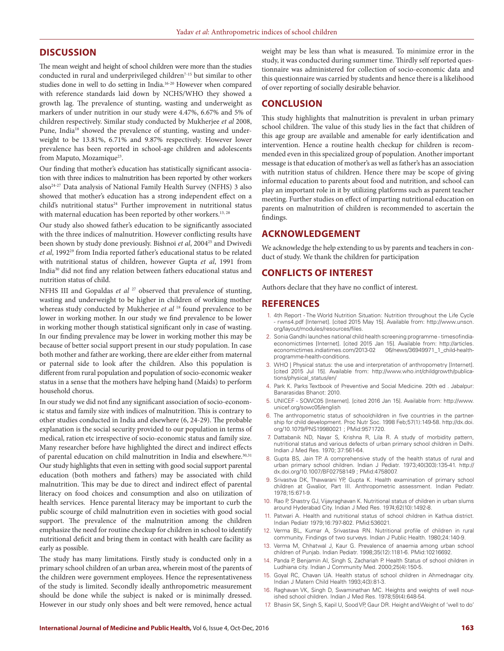## **DISCUSSION**

The mean weight and height of school children were more than the studies conducted in rural and underprivileged children<sup>7-15</sup> but similar to other studies done in well to do setting in India.16-20 However when compared with reference standards laid down by NCHS/WHO they showed a growth lag. The prevalence of stunting, wasting and underweight as markers of under nutrition in our study were 4.47%, 6.67% and 5% of children respectively. Similar study conducted by Mukherjee *et al* 2008, Pune, India<sup>18</sup> showed the prevalence of stunting, wasting and underweight to be 13.81%, 6.71% and 9.87% respectively. However lower prevalence has been reported in school-age children and adolescents from Maputo, Mozamique<sup>23</sup>.

Our finding that mother's education has statistically significant association with three indices to malnutrition has been reported by other workers also24-27 Data analysis of National Family Health Survey (NFHS) 3 also showed that mother's education has a strong independent effect on a child's nutritional status<sup>24</sup> Further improvement in nutritional status with maternal education has been reported by other workers.<sup>13, 28</sup>

Our study also showed father's education to be significantly associated with the three indices of malnutrition. However conflicting results have been shown by study done previously. Bishnoi et al, 2004<sup>25</sup> and Dwivedi et al, 1992<sup>29</sup> from India reported father's educational status to be related with nutritional status of children, however Gupta *et al*, 1991 from India30 did not find any relation between fathers educational status and nutrition status of child.

NFHS III and Gopaldas *et al* <sup>27</sup> observed that prevalence of stunting, wasting and underweight to be higher in children of working mother whereas study conducted by Mukherjee *et al* 18 found prevalence to be lower in working mother. In our study we find prevalence to be lower in working mother though statistical significant only in case of wasting. In our finding prevalence may be lower in working mother this may be because of better social support present in our study population. In case both mother and father are working, there are elder either from maternal or paternal side to look after the children. Also this population is different from rural population and population of socio-economic weaker status in a sense that the mothers have helping hand (Maids) to perform household chorus.

In our study we did not find any significant association of socio-economic status and family size with indices of malnutrition. This is contrary to other studies conducted in India and elsewhere (6, 24-29). The probable explanation is the social security provided to our population in terms of medical, ration etc irrespective of socio-economic status and family size. Many researcher before have highlighted the direct and indirect effects of parental education on child malnutrition in India and elsewhere.<sup>30,31</sup> Our study highlights that even in setting with good social support parental education (both mothers and fathers) may be associated with child malnutrition. This may be due to direct and indirect effect of parental literacy on food choices and consumption and also on utilization of health services. Hence parental literacy may be important to curb the public scourge of child malnutrition even in societies with good social support. The prevalence of the malnutrition among the children emphasize the need for routine checkup for children in school to identify nutritional deficit and bring them in contact with health care facility as early as possible.

The study has many limitations. Firstly study is conducted only in a primary school children of an urban area, wherein most of the parents of the children were government employees. Hence the representativeness of the study is limited. Secondly ideally anthropometric measurement should be done while the subject is naked or is minimally dressed. However in our study only shoes and belt were removed, hence actual

weight may be less than what is measured. To minimize error in the study, it was conducted during summer time. Thirdly self reported questionnaire was administered for collection of socio-economic data and this questionnaire was carried by students and hence there is a likelihood of over reporting of socially desirable behavior.

## **CONCLUSION**

This study highlights that malnutrition is prevalent in urban primary school children. The value of this study lies in the fact that children of this age group are available and amenable for early identification and intervention. Hence a routine health checkup for children is recommended even in this specialized group of population. Another important message is that education of mother's as well as father's has an association with nutrition status of children. Hence there may be scope of giving informal education to parents about food and nutrition, and school can play an important role in it by utilizing platforms such as parent teacher meeting. Further studies on effect of imparting nutritional education on parents on malnutrition of children is recommended to ascertain the findings.

## **ACKNOWLEDGEMENT**

We acknowledge the help extending to us by parents and teachers in conduct of study. We thank the children for participation

## **CONFLICTS OF INTEREST**

Authors declare that they have no conflict of interest.

## **REFERENCES**

- 1. 4th Report The World Nutrition Situation: Nutrition throughout the Life Cycle - rwns4.pdf [Internet]. [cited 2015 May 15]. Available from: http://www.unscn. org/layout/modules/resources/files.
- 2. Sonia Gandhi launches national child health screening programme timesofindiaeconomictimes [Internet]. [cited 2015 Jan 15]. Available from: http://articles.<br>economictimes.indiatimes.com/2013-02 06/news/36949971\_1\_child-healtheconomictimes.indiatimes.com/2013-02 programme-health-conditions.
- 3. WHO | Physical status: the use and interpretation of anthropometry [Internet]. [cited 2015 Jul 15]. Available from: http://www.who.int/childgrowth/publications/physical\_status/en/
- 4. Park K. Parks Textbook of Preventive and Social Medicine. 20th ed . Jabalpur: Banarasidas Bhanot: 2010.
- 5. UNICEF SOWC05 [Internet]. [cited 2016 Jan 15]. Available from: http://www. unicef.org/sowc05/english
- 6. The anthropometric status of schoolchildren in five countries in the partnership for child development. Proc Nutr Soc. 1998 Feb;57(1):149-58. http://dx.doi. org/10.1079/PNS19980021 ; PMid:9571720.
- 7. Dattabanik ND, Nayar S, Krishna R, Lila R. A study of morbidity pattern, nutritional status and various defects of urban primary school children in Delhi. Indian J Med Res. 1970; 37:561-64.
- 8. Gupta BS, Jain TP. A comprehensive study of the health status of rural and urban primary school children. Indian J Pediatr. 1973;40(303):135-41. http:// dx.doi.org/10.1007/BF02758149 ; PMid:4758007.
- 9. Srivastva DK, Thawarani YP, Gupta K. Health examination of primary school children at Gwalior, Part III. Anthropometric assessment. Indian Pediatr. 1978;15:671-9.
- 10. Rao P, Shastry GJ, Vijayraghavan K. Nutritional status of children in urban slums around Hyderabad City. Indian J Med Res. 1974;62(10):1492-8.
- 11. Patwari A. Health and nutritional status of school children in Kathua district. Indian Pediatr 1979;16:797-802. PMid:536021.
- 12. Verma BL, Kumar A, Srivastava RN. Nutritional profile of children in rural community. Findings of two surveys. Indian J Public Health. 1980;24:140-9.
- 13. Verma M, Chhatwal J, Kaur G. Prevalence of anaemia among urban school children of Punjab. Indian Pediatr. 1998;35(12):1181-6. PMid:10216692.
- 14. Panda P, Benjamin AI, Singh S, Zachariah P. Health Status of school children in Ludhiana city. Indian J Community Med. 2000;25(4):150-5.
- 15. Goyal RC, Chavan UA. Health status of school children in Ahmednagar city. Indian J Matern Child Health 1993;4(3):81-3.
- 16. Raghavan VK, Singh D, Swaminathan MC. Heights and weights of well nourished school children. Indian J Med Res. 1978;59(4):648-54.
- 17. Bhasin SK, Singh S, Kapil U, Sood VP, Gaur DR. Height and Weight of 'well to do'